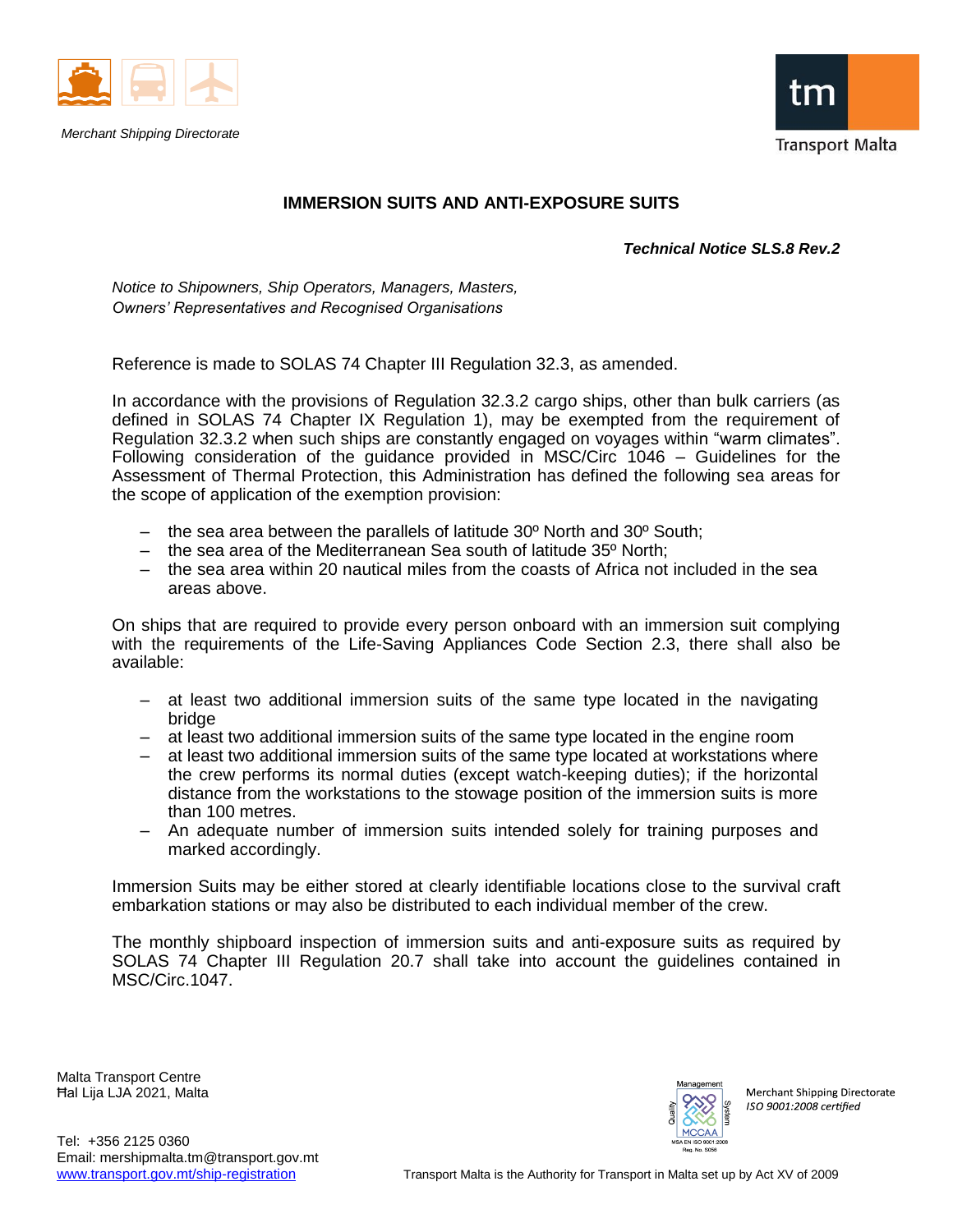

*Merchant Shipping Directorate*



## **IMMERSION SUITS AND ANTI-EXPOSURE SUITS**

*Technical Notice SLS.8 Rev.2*

*Notice to Shipowners, Ship Operators, Managers, Masters, Owners' Representatives and Recognised Organisations*

Reference is made to SOLAS 74 Chapter III Regulation 32.3, as amended.

In accordance with the provisions of Regulation 32.3.2 cargo ships, other than bulk carriers (as defined in SOLAS 74 Chapter IX Regulation 1), may be exempted from the requirement of Regulation 32.3.2 when such ships are constantly engaged on voyages within "warm climates". Following consideration of the guidance provided in MSC/Circ 1046 – Guidelines for the Assessment of Thermal Protection, this Administration has defined the following sea areas for the scope of application of the exemption provision:

- $-$  the sea area between the parallels of latitude 30 $\degree$  North and 30 $\degree$  South;
- the sea area of the Mediterranean Sea south of latitude 35º North;
- the sea area within 20 nautical miles from the coasts of Africa not included in the sea areas above.

On ships that are required to provide every person onboard with an immersion suit complying with the requirements of the Life-Saving Appliances Code Section 2.3, there shall also be available:

- at least two additional immersion suits of the same type located in the navigating bridge
- at least two additional immersion suits of the same type located in the engine room
- at least two additional immersion suits of the same type located at workstations where the crew performs its normal duties (except watch-keeping duties); if the horizontal distance from the workstations to the stowage position of the immersion suits is more than 100 metres.
- An adequate number of immersion suits intended solely for training purposes and marked accordingly.

Immersion Suits may be either stored at clearly identifiable locations close to the survival craft embarkation stations or may also be distributed to each individual member of the crew.

The monthly shipboard inspection of immersion suits and anti-exposure suits as required by SOLAS 74 Chapter III Regulation 20.7 shall take into account the guidelines contained in MSC/Circ.1047.

Malta Transport Centre Ħal Lija LJA 2021, Malta



Merchant Shipping Directorate ISO 9001:2008 certified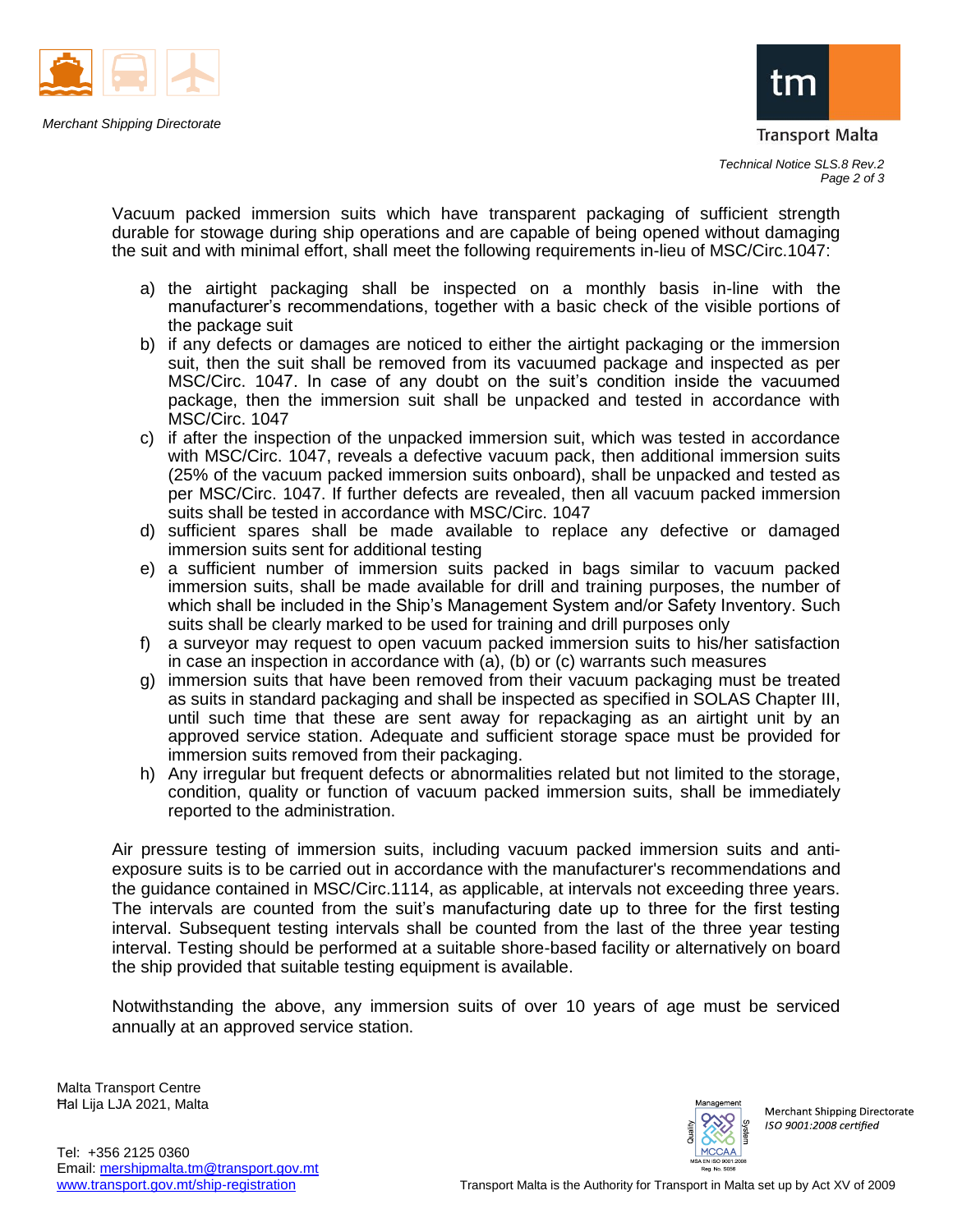



Vacuum packed immersion suits which have transparent packaging of sufficient strength durable for stowage during ship operations and are capable of being opened without damaging the suit and with minimal effort, shall meet the following requirements in-lieu of MSC/Circ.1047:

- a) the airtight packaging shall be inspected on a monthly basis in-line with the manufacturer's recommendations, together with a basic check of the visible portions of the package suit
- b) if any defects or damages are noticed to either the airtight packaging or the immersion suit, then the suit shall be removed from its vacuumed package and inspected as per MSC/Circ. 1047. In case of any doubt on the suit's condition inside the vacuumed package, then the immersion suit shall be unpacked and tested in accordance with MSC/Circ. 1047
- c) if after the inspection of the unpacked immersion suit, which was tested in accordance with MSC/Circ. 1047, reveals a defective vacuum pack, then additional immersion suits (25% of the vacuum packed immersion suits onboard), shall be unpacked and tested as per MSC/Circ. 1047. If further defects are revealed, then all vacuum packed immersion suits shall be tested in accordance with MSC/Circ. 1047
- d) sufficient spares shall be made available to replace any defective or damaged immersion suits sent for additional testing
- e) a sufficient number of immersion suits packed in bags similar to vacuum packed immersion suits, shall be made available for drill and training purposes, the number of which shall be included in the Ship's Management System and/or Safety Inventory. Such suits shall be clearly marked to be used for training and drill purposes only
- f) a surveyor may request to open vacuum packed immersion suits to his/her satisfaction in case an inspection in accordance with (a), (b) or (c) warrants such measures
- g) immersion suits that have been removed from their vacuum packaging must be treated as suits in standard packaging and shall be inspected as specified in SOLAS Chapter III, until such time that these are sent away for repackaging as an airtight unit by an approved service station. Adequate and sufficient storage space must be provided for immersion suits removed from their packaging.
- h) Any irregular but frequent defects or abnormalities related but not limited to the storage, condition, quality or function of vacuum packed immersion suits, shall be immediately reported to the administration.

Air pressure testing of immersion suits, including vacuum packed immersion suits and antiexposure suits is to be carried out in accordance with the manufacturer's recommendations and the guidance contained in MSC/Circ.1114, as applicable, at intervals not exceeding three years. The intervals are counted from the suit's manufacturing date up to three for the first testing interval. Subsequent testing intervals shall be counted from the last of the three year testing interval. Testing should be performed at a suitable shore-based facility or alternatively on board the ship provided that suitable testing equipment is available.

Notwithstanding the above, any immersion suits of over 10 years of age must be serviced annually at an approved service station.

Malta Transport Centre Ħal Lija LJA 2021, Malta



Merchant Shipping Directorate ISO 9001:2008 certified